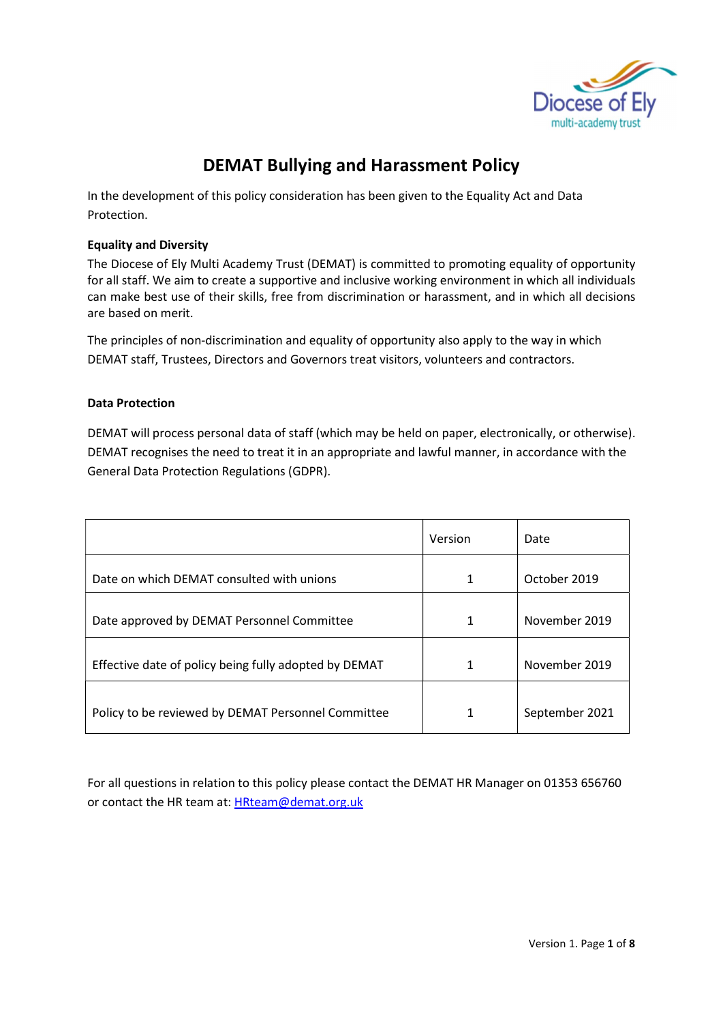

# DEMAT Bullying and Harassment Policy

In the development of this policy consideration has been given to the Equality Act and Data Protection.

## Equality and Diversity

The Diocese of Ely Multi Academy Trust (DEMAT) is committed to promoting equality of opportunity for all staff. We aim to create a supportive and inclusive working environment in which all individuals can make best use of their skills, free from discrimination or harassment, and in which all decisions are based on merit.

The principles of non-discrimination and equality of opportunity also apply to the way in which DEMAT staff, Trustees, Directors and Governors treat visitors, volunteers and contractors.

# Data Protection

DEMAT will process personal data of staff (which may be held on paper, electronically, or otherwise). DEMAT recognises the need to treat it in an appropriate and lawful manner, in accordance with the General Data Protection Regulations (GDPR).

|                                                       | Version | Date           |
|-------------------------------------------------------|---------|----------------|
| Date on which DEMAT consulted with unions             | 1       | October 2019   |
| Date approved by DEMAT Personnel Committee            | 1       | November 2019  |
| Effective date of policy being fully adopted by DEMAT | 1       | November 2019  |
| Policy to be reviewed by DEMAT Personnel Committee    | 1       | September 2021 |

For all questions in relation to this policy please contact the DEMAT HR Manager on 01353 656760 or contact the HR team at: HRteam@demat.org.uk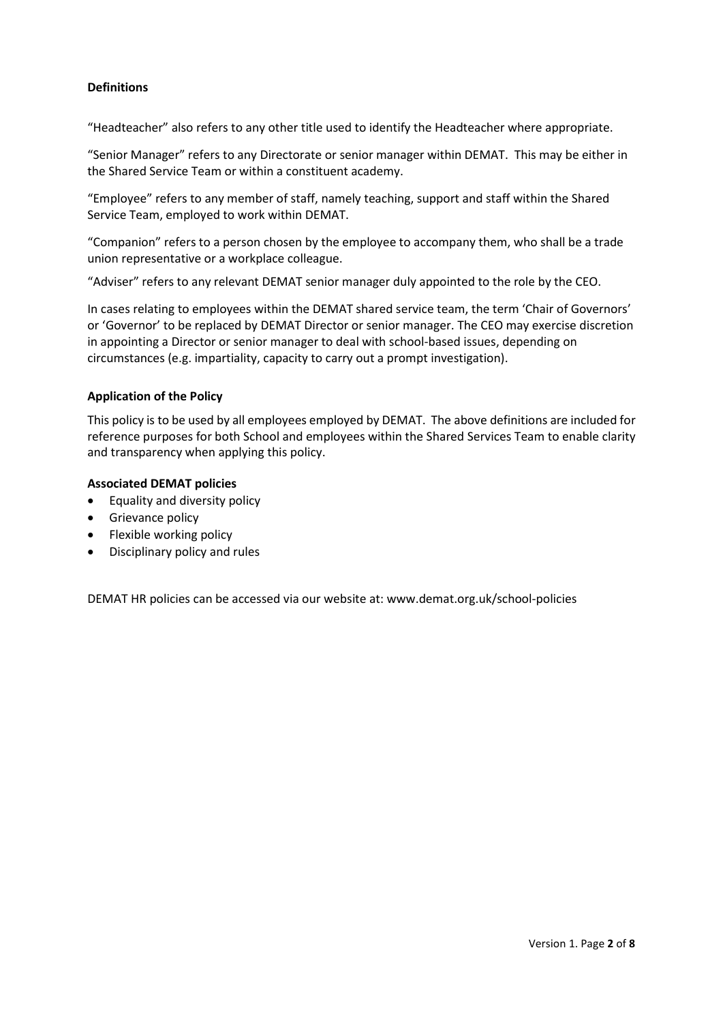# Definitions

"Headteacher" also refers to any other title used to identify the Headteacher where appropriate.

"Senior Manager" refers to any Directorate or senior manager within DEMAT. This may be either in the Shared Service Team or within a constituent academy.

"Employee" refers to any member of staff, namely teaching, support and staff within the Shared Service Team, employed to work within DEMAT.

"Companion" refers to a person chosen by the employee to accompany them, who shall be a trade union representative or a workplace colleague.

"Adviser" refers to any relevant DEMAT senior manager duly appointed to the role by the CEO.

In cases relating to employees within the DEMAT shared service team, the term 'Chair of Governors' or 'Governor' to be replaced by DEMAT Director or senior manager. The CEO may exercise discretion in appointing a Director or senior manager to deal with school-based issues, depending on circumstances (e.g. impartiality, capacity to carry out a prompt investigation).

## Application of the Policy

This policy is to be used by all employees employed by DEMAT. The above definitions are included for reference purposes for both School and employees within the Shared Services Team to enable clarity and transparency when applying this policy.

#### Associated DEMAT policies

- Equality and diversity policy
- Grievance policy
- Flexible working policy
- Disciplinary policy and rules

DEMAT HR policies can be accessed via our website at: www.demat.org.uk/school-policies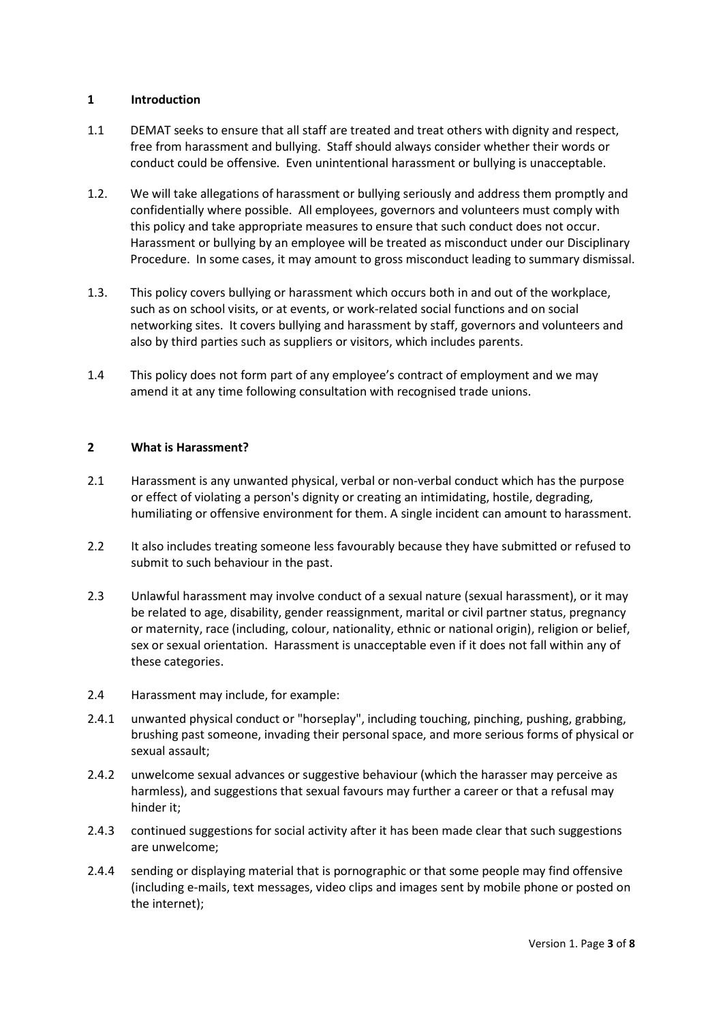## 1 Introduction

- 1.1 DEMAT seeks to ensure that all staff are treated and treat others with dignity and respect, free from harassment and bullying. Staff should always consider whether their words or conduct could be offensive. Even unintentional harassment or bullying is unacceptable.
- 1.2. We will take allegations of harassment or bullying seriously and address them promptly and confidentially where possible. All employees, governors and volunteers must comply with this policy and take appropriate measures to ensure that such conduct does not occur. Harassment or bullying by an employee will be treated as misconduct under our Disciplinary Procedure. In some cases, it may amount to gross misconduct leading to summary dismissal.
- 1.3. This policy covers bullying or harassment which occurs both in and out of the workplace, such as on school visits, or at events, or work-related social functions and on social networking sites. It covers bullying and harassment by staff, governors and volunteers and also by third parties such as suppliers or visitors, which includes parents.
- 1.4 This policy does not form part of any employee's contract of employment and we may amend it at any time following consultation with recognised trade unions.

# 2 What is Harassment?

- 2.1 Harassment is any unwanted physical, verbal or non-verbal conduct which has the purpose or effect of violating a person's dignity or creating an intimidating, hostile, degrading, humiliating or offensive environment for them. A single incident can amount to harassment.
- 2.2 It also includes treating someone less favourably because they have submitted or refused to submit to such behaviour in the past.
- 2.3 Unlawful harassment may involve conduct of a sexual nature (sexual harassment), or it may be related to age, disability, gender reassignment, marital or civil partner status, pregnancy or maternity, race (including, colour, nationality, ethnic or national origin), religion or belief, sex or sexual orientation. Harassment is unacceptable even if it does not fall within any of these categories.
- 2.4 Harassment may include, for example:
- 2.4.1 unwanted physical conduct or "horseplay", including touching, pinching, pushing, grabbing, brushing past someone, invading their personal space, and more serious forms of physical or sexual assault;
- 2.4.2 unwelcome sexual advances or suggestive behaviour (which the harasser may perceive as harmless), and suggestions that sexual favours may further a career or that a refusal may hinder it;
- 2.4.3 continued suggestions for social activity after it has been made clear that such suggestions are unwelcome;
- 2.4.4 sending or displaying material that is pornographic or that some people may find offensive (including e-mails, text messages, video clips and images sent by mobile phone or posted on the internet);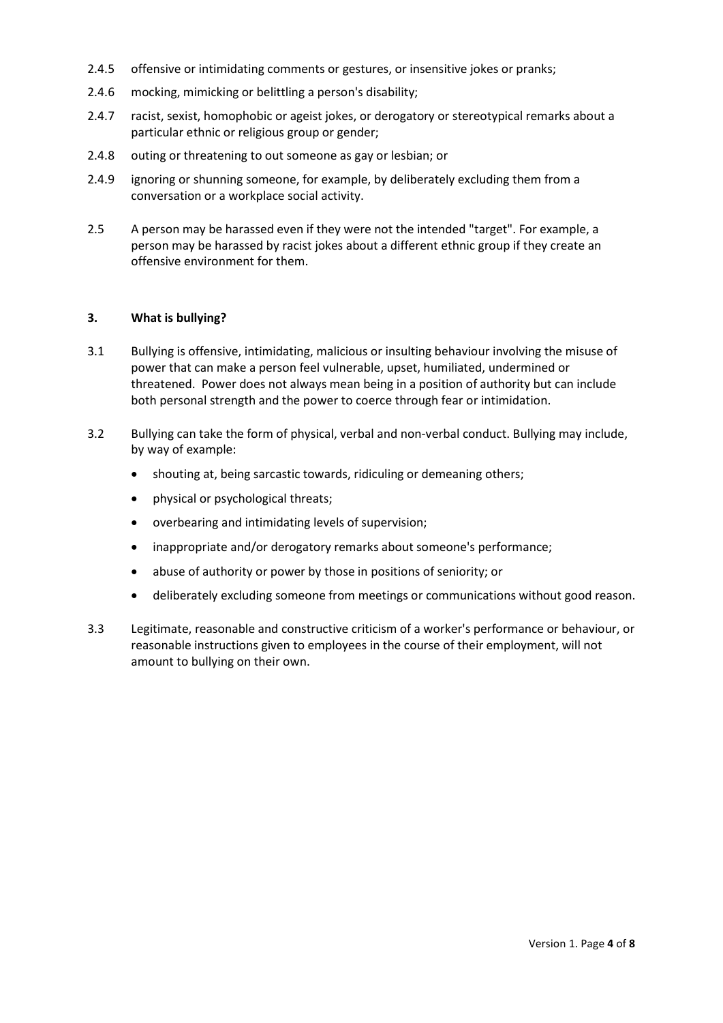- 2.4.5 offensive or intimidating comments or gestures, or insensitive jokes or pranks;
- 2.4.6 mocking, mimicking or belittling a person's disability;
- 2.4.7 racist, sexist, homophobic or ageist jokes, or derogatory or stereotypical remarks about a particular ethnic or religious group or gender;
- 2.4.8 outing or threatening to out someone as gay or lesbian; or
- 2.4.9 ignoring or shunning someone, for example, by deliberately excluding them from a conversation or a workplace social activity.
- 2.5 A person may be harassed even if they were not the intended "target". For example, a person may be harassed by racist jokes about a different ethnic group if they create an offensive environment for them.

#### 3. What is bullying?

- 3.1 Bullying is offensive, intimidating, malicious or insulting behaviour involving the misuse of power that can make a person feel vulnerable, upset, humiliated, undermined or threatened. Power does not always mean being in a position of authority but can include both personal strength and the power to coerce through fear or intimidation.
- 3.2 Bullying can take the form of physical, verbal and non-verbal conduct. Bullying may include, by way of example:
	- shouting at, being sarcastic towards, ridiculing or demeaning others;
	- physical or psychological threats;
	- overbearing and intimidating levels of supervision;
	- inappropriate and/or derogatory remarks about someone's performance;
	- abuse of authority or power by those in positions of seniority; or
	- deliberately excluding someone from meetings or communications without good reason.
- 3.3 Legitimate, reasonable and constructive criticism of a worker's performance or behaviour, or reasonable instructions given to employees in the course of their employment, will not amount to bullying on their own.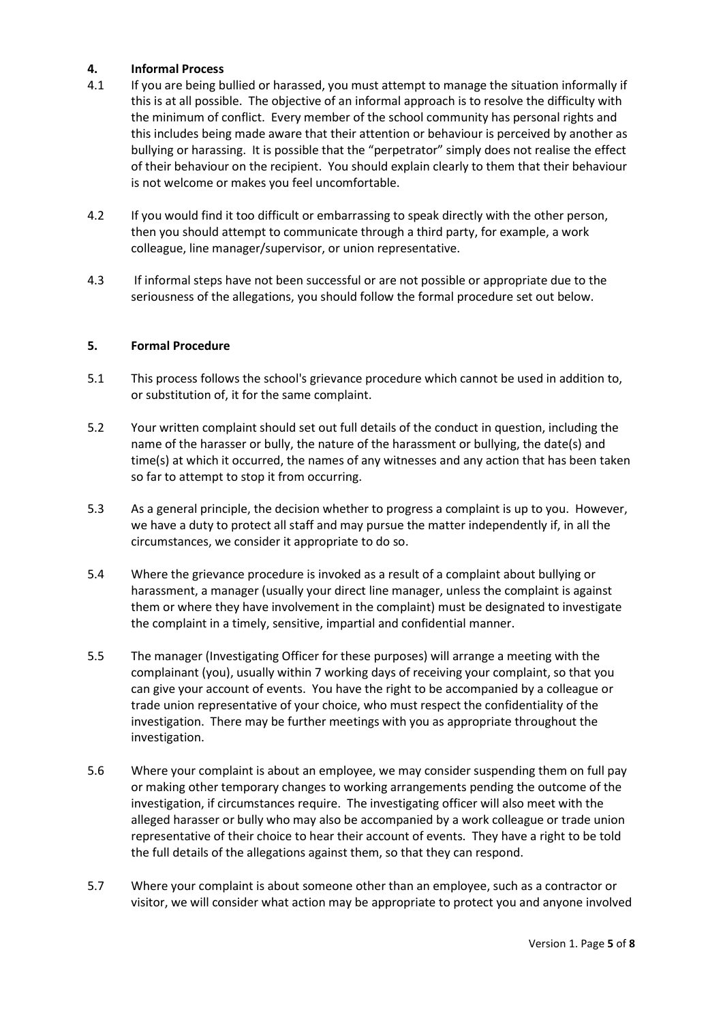## 4. Informal Process

- 4.1 If you are being bullied or harassed, you must attempt to manage the situation informally if this is at all possible. The objective of an informal approach is to resolve the difficulty with the minimum of conflict. Every member of the school community has personal rights and this includes being made aware that their attention or behaviour is perceived by another as bullying or harassing. It is possible that the "perpetrator" simply does not realise the effect of their behaviour on the recipient. You should explain clearly to them that their behaviour is not welcome or makes you feel uncomfortable.
- 4.2 If you would find it too difficult or embarrassing to speak directly with the other person, then you should attempt to communicate through a third party, for example, a work colleague, line manager/supervisor, or union representative.
- 4.3 If informal steps have not been successful or are not possible or appropriate due to the seriousness of the allegations, you should follow the formal procedure set out below.

# 5. Formal Procedure

- 5.1 This process follows the school's grievance procedure which cannot be used in addition to, or substitution of, it for the same complaint.
- 5.2 Your written complaint should set out full details of the conduct in question, including the name of the harasser or bully, the nature of the harassment or bullying, the date(s) and time(s) at which it occurred, the names of any witnesses and any action that has been taken so far to attempt to stop it from occurring.
- 5.3 As a general principle, the decision whether to progress a complaint is up to you. However, we have a duty to protect all staff and may pursue the matter independently if, in all the circumstances, we consider it appropriate to do so.
- 5.4 Where the grievance procedure is invoked as a result of a complaint about bullying or harassment, a manager (usually your direct line manager, unless the complaint is against them or where they have involvement in the complaint) must be designated to investigate the complaint in a timely, sensitive, impartial and confidential manner.
- 5.5 The manager (Investigating Officer for these purposes) will arrange a meeting with the complainant (you), usually within 7 working days of receiving your complaint, so that you can give your account of events. You have the right to be accompanied by a colleague or trade union representative of your choice, who must respect the confidentiality of the investigation. There may be further meetings with you as appropriate throughout the investigation.
- 5.6 Where your complaint is about an employee, we may consider suspending them on full pay or making other temporary changes to working arrangements pending the outcome of the investigation, if circumstances require. The investigating officer will also meet with the alleged harasser or bully who may also be accompanied by a work colleague or trade union representative of their choice to hear their account of events. They have a right to be told the full details of the allegations against them, so that they can respond.
- 5.7 Where your complaint is about someone other than an employee, such as a contractor or visitor, we will consider what action may be appropriate to protect you and anyone involved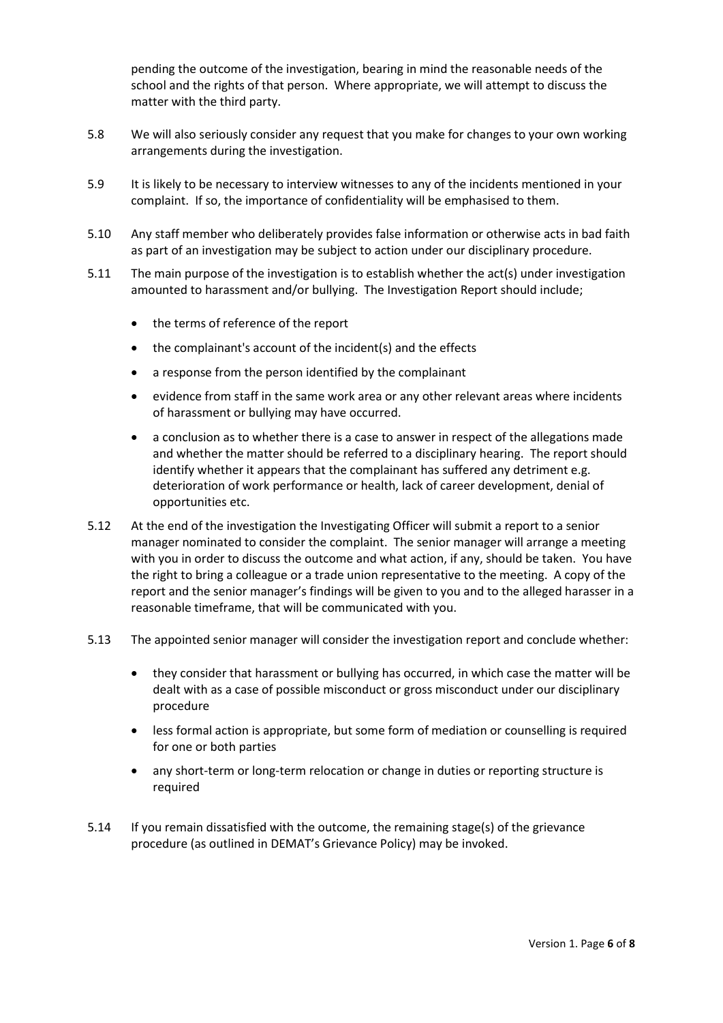pending the outcome of the investigation, bearing in mind the reasonable needs of the school and the rights of that person. Where appropriate, we will attempt to discuss the matter with the third party.

- 5.8 We will also seriously consider any request that you make for changes to your own working arrangements during the investigation.
- 5.9 It is likely to be necessary to interview witnesses to any of the incidents mentioned in your complaint. If so, the importance of confidentiality will be emphasised to them.
- 5.10 Any staff member who deliberately provides false information or otherwise acts in bad faith as part of an investigation may be subject to action under our disciplinary procedure.
- 5.11 The main purpose of the investigation is to establish whether the act(s) under investigation amounted to harassment and/or bullying. The Investigation Report should include;
	- the terms of reference of the report
	- the complainant's account of the incident(s) and the effects
	- a response from the person identified by the complainant
	- evidence from staff in the same work area or any other relevant areas where incidents of harassment or bullying may have occurred.
	- a conclusion as to whether there is a case to answer in respect of the allegations made and whether the matter should be referred to a disciplinary hearing. The report should identify whether it appears that the complainant has suffered any detriment e.g. deterioration of work performance or health, lack of career development, denial of opportunities etc.
- 5.12 At the end of the investigation the Investigating Officer will submit a report to a senior manager nominated to consider the complaint. The senior manager will arrange a meeting with you in order to discuss the outcome and what action, if any, should be taken. You have the right to bring a colleague or a trade union representative to the meeting. A copy of the report and the senior manager's findings will be given to you and to the alleged harasser in a reasonable timeframe, that will be communicated with you.
- 5.13 The appointed senior manager will consider the investigation report and conclude whether:
	- they consider that harassment or bullying has occurred, in which case the matter will be dealt with as a case of possible misconduct or gross misconduct under our disciplinary procedure
	- less formal action is appropriate, but some form of mediation or counselling is required for one or both parties
	- any short-term or long-term relocation or change in duties or reporting structure is required
- 5.14 If you remain dissatisfied with the outcome, the remaining stage(s) of the grievance procedure (as outlined in DEMAT's Grievance Policy) may be invoked.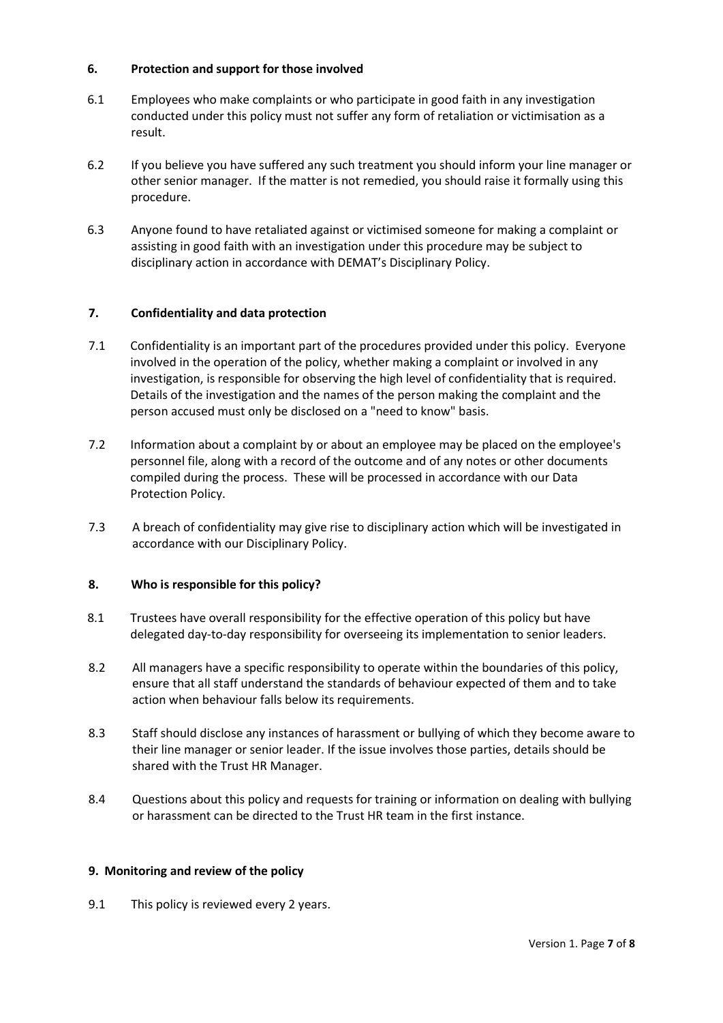## 6. Protection and support for those involved

- 6.1 Employees who make complaints or who participate in good faith in any investigation conducted under this policy must not suffer any form of retaliation or victimisation as a result.
- 6.2 If you believe you have suffered any such treatment you should inform your line manager or other senior manager. If the matter is not remedied, you should raise it formally using this procedure.
- 6.3 Anyone found to have retaliated against or victimised someone for making a complaint or assisting in good faith with an investigation under this procedure may be subject to disciplinary action in accordance with DEMAT's Disciplinary Policy.

# 7. Confidentiality and data protection

- 7.1 Confidentiality is an important part of the procedures provided under this policy. Everyone involved in the operation of the policy, whether making a complaint or involved in any investigation, is responsible for observing the high level of confidentiality that is required. Details of the investigation and the names of the person making the complaint and the person accused must only be disclosed on a "need to know" basis.
- 7.2 Information about a complaint by or about an employee may be placed on the employee's personnel file, along with a record of the outcome and of any notes or other documents compiled during the process. These will be processed in accordance with our Data Protection Policy.
- 7.3 A breach of confidentiality may give rise to disciplinary action which will be investigated in accordance with our Disciplinary Policy.

## 8. Who is responsible for this policy?

- 8.1 Trustees have overall responsibility for the effective operation of this policy but have delegated day-to-day responsibility for overseeing its implementation to senior leaders.
- 8.2 All managers have a specific responsibility to operate within the boundaries of this policy, ensure that all staff understand the standards of behaviour expected of them and to take action when behaviour falls below its requirements.
- 8.3 Staff should disclose any instances of harassment or bullying of which they become aware to their line manager or senior leader. If the issue involves those parties, details should be shared with the Trust HR Manager.
- 8.4 Questions about this policy and requests for training or information on dealing with bullying or harassment can be directed to the Trust HR team in the first instance.

## 9. Monitoring and review of the policy

9.1 This policy is reviewed every 2 years.